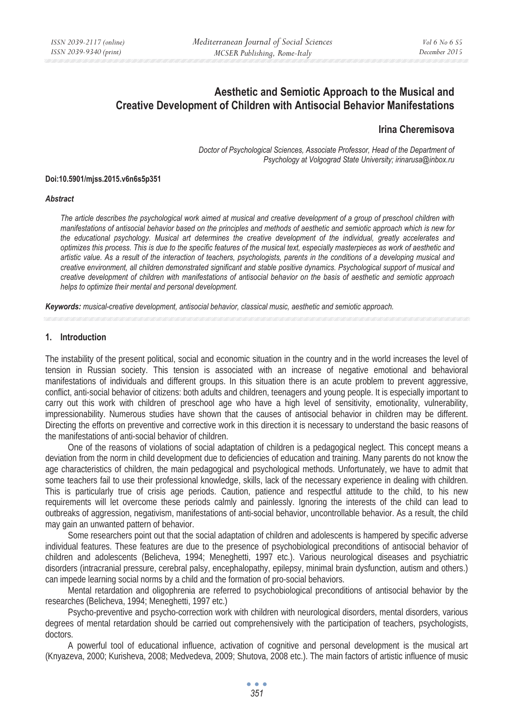# **Aesthetic and Semiotic Approach to the Musical and Creative Development of Children with Antisocial Behavior Manifestations**

## **Irina Cheremisova**

*Doctor of Psychological Sciences, Associate Professor, Head of the Department of Psychology at Volgograd State University; irinarusa@inbox.ru* 

#### **Doi:10.5901/mjss.2015.v6n6s5p351**

#### *Abstract*

*The article describes the psychological work aimed at musical and creative development of a group of preschool children with manifestations of antisocial behavior based on the principles and methods of aesthetic and semiotic approach which is new for the educational psychology. Musical art determines the creative development of the individual, greatly accelerates and optimizes this process. This is due to the specific features of the musical text, especially masterpieces as work of aesthetic and artistic value. As a result of the interaction of teachers, psychologists, parents in the conditions of a developing musical and creative environment, all children demonstrated significant and stable positive dynamics. Psychological support of musical and creative development of children with manifestations of antisocial behavior on the basis of aesthetic and semiotic approach helps to optimize their mental and personal development.* 

*Keywords: musical-creative development, antisocial behavior, classical music, aesthetic and semiotic approach.*

### **1. Introduction**

The instability of the present political, social and economic situation in the country and in the world increases the level of tension in Russian society. This tension is associated with an increase of negative emotional and behavioral manifestations of individuals and different groups. In this situation there is an acute problem to prevent aggressive, conflict, anti-social behavior of citizens: both adults and children, teenagers and young people. It is especially important to carry out this work with children of preschool age who have a high level of sensitivity, emotionality, vulnerability, impressionability. Numerous studies have shown that the causes of antisocial behavior in children may be different. Directing the efforts on preventive and corrective work in this direction it is necessary to understand the basic reasons of the manifestations of anti-social behavior of children.

One of the reasons of violations of social adaptation of children is a pedagogical neglect. This concept means a deviation from the norm in child development due to deficiencies of education and training. Many parents do not know the age characteristics of children, the main pedagogical and psychological methods. Unfortunately, we have to admit that some teachers fail to use their professional knowledge, skills, lack of the necessary experience in dealing with children. This is particularly true of crisis age periods. Caution, patience and respectful attitude to the child, to his new requirements will let overcome these periods calmly and painlessly. Ignoring the interests of the child can lead to outbreaks of aggression, negativism, manifestations of anti-social behavior, uncontrollable behavior. As a result, the child may gain an unwanted pattern of behavior.

Some researchers point out that the social adaptation of children and adolescents is hampered by specific adverse individual features. These features are due to the presence of psychobiological preconditions of antisocial behavior of children and adolescents (Belicheva, 1994; Meneghetti, 1997 etc.). Various neurological diseases and psychiatric disorders (intracranial pressure, cerebral palsy, encephalopathy, epilepsy, minimal brain dysfunction, autism and others.) can impede learning social norms by a child and the formation of pro-social behaviors.

Mental retardation and oligophrenia are referred to psychobiological preconditions of antisocial behavior by the researches (Belicheva, 1994; Meneghetti, 1997 etc.)

Psycho-preventive and psycho-correction work with children with neurological disorders, mental disorders, various degrees of mental retardation should be carried out comprehensively with the participation of teachers, psychologists, doctors.

A powerful tool of educational influence, activation of cognitive and personal development is the musical art (Knyazeva, 2000; Kurisheva, 2008; Medvedeva, 2009; Shutova, 2008 etc.). The main factors of artistic influence of music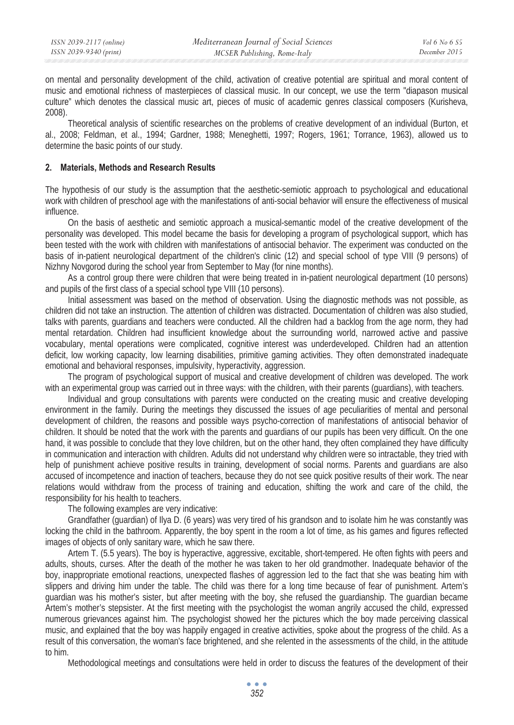on mental and personality development of the child, activation of creative potential are spiritual and moral content of music and emotional richness of masterpieces of classical music. In our concept, we use the term "diapason musical culture" which denotes the classical music art, pieces of music of academic genres classical composers (Kurisheva, 2008).

Theoretical analysis of scientific researches on the problems of creative development of an individual (Burton, et al., 2008; Feldman, et al., 1994; Gardner, 1988; Meneghetti, 1997; Rogers, 1961; Torrance, 1963), allowed us to determine the basic points of our study.

#### **2. Materials, Methods and Research Results**

The hypothesis of our study is the assumption that the aesthetic-semiotic approach to psychological and educational work with children of preschool age with the manifestations of anti-social behavior will ensure the effectiveness of musical influence.

On the basis of aesthetic and semiotic approach a musical-semantic model of the creative development of the personality was developed. This model became the basis for developing a program of psychological support, which has been tested with the work with children with manifestations of antisocial behavior. The experiment was conducted on the basis of in-patient neurological department of the children's clinic (12) and special school of type VIII (9 persons) of Nizhny Novgorod during the school year from September to May (for nine months).

As a control group there were children that were being treated in in-patient neurological department (10 persons) and pupils of the first class of a special school type VIII (10 persons).

Initial assessment was based on the method of observation. Using the diagnostic methods was not possible, as children did not take an instruction. The attention of children was distracted. Documentation of children was also studied, talks with parents, guardians and teachers were conducted. All the children had a backlog from the age norm, they had mental retardation. Children had insufficient knowledge about the surrounding world, narrowed active and passive vocabulary, mental operations were complicated, cognitive interest was underdeveloped. Children had an attention deficit, low working capacity, low learning disabilities, primitive gaming activities. They often demonstrated inadequate emotional and behavioral responses, impulsivity, hyperactivity, aggression.

The program of psychological support of musical and creative development of children was developed. The work with an experimental group was carried out in three ways: with the children, with their parents (guardians), with teachers.

Individual and group consultations with parents were conducted on the creating music and creative developing environment in the family. During the meetings they discussed the issues of age peculiarities of mental and personal development of children, the reasons and possible ways psycho-correction of manifestations of antisocial behavior of children. It should be noted that the work with the parents and guardians of our pupils has been very difficult. On the one hand, it was possible to conclude that they love children, but on the other hand, they often complained they have difficulty in communication and interaction with children. Adults did not understand why children were so intractable, they tried with help of punishment achieve positive results in training, development of social norms. Parents and guardians are also accused of incompetence and inaction of teachers, because they do not see quick positive results of their work. The near relations would withdraw from the process of training and education, shifting the work and care of the child, the responsibility for his health to teachers.

The following examples are very indicative:

Grandfather (guardian) of Ilya D. (6 years) was very tired of his grandson and to isolate him he was constantly was locking the child in the bathroom. Apparently, the boy spent in the room a lot of time, as his games and figures reflected images of objects of only sanitary ware, which he saw there.

Artem T. (5.5 years). The boy is hyperactive, aggressive, excitable, short-tempered. He often fights with peers and adults, shouts, curses. After the death of the mother he was taken to her old grandmother. Inadequate behavior of the boy, inappropriate emotional reactions, unexpected flashes of aggression led to the fact that she was beating him with slippers and driving him under the table. The child was there for a long time because of fear of punishment. Artem's guardian was his mother's sister, but after meeting with the boy, she refused the guardianship. The guardian became Artem's mother's stepsister. At the first meeting with the psychologist the woman angrily accused the child, expressed numerous grievances against him. The psychologist showed her the pictures which the boy made perceiving classical music, and explained that the boy was happily engaged in creative activities, spoke about the progress of the child. As a result of this conversation, the woman's face brightened, and she relented in the assessments of the child, in the attitude to him.

Methodological meetings and consultations were held in order to discuss the features of the development of their

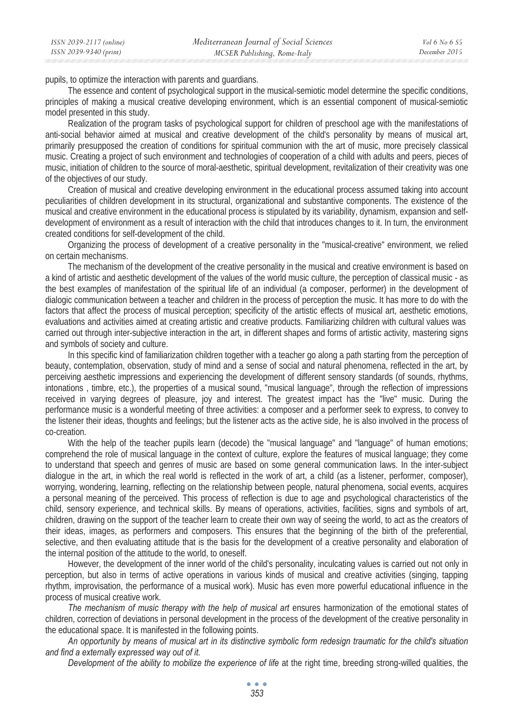pupils, to optimize the interaction with parents and guardians.

The essence and content of psychological support in the musical-semiotic model determine the specific conditions, principles of making a musical creative developing environment, which is an essential component of musical-semiotic model presented in this study.

Realization of the program tasks of psychological support for children of preschool age with the manifestations of anti-social behavior aimed at musical and creative development of the child's personality by means of musical art, primarily presupposed the creation of conditions for spiritual communion with the art of music, more precisely classical music. Creating a project of such environment and technologies of cooperation of a child with adults and peers, pieces of music, initiation of children to the source of moral-aesthetic, spiritual development, revitalization of their creativity was one of the objectives of our study.

Creation of musical and creative developing environment in the educational process assumed taking into account peculiarities of children development in its structural, organizational and substantive components. The existence of the musical and creative environment in the educational process is stipulated by its variability, dynamism, expansion and selfdevelopment of environment as a result of interaction with the child that introduces changes to it. In turn, the environment created conditions for self-development of the child.

Organizing the process of development of a creative personality in the "musical-creative" environment, we relied on certain mechanisms.

The mechanism of the development of the creative personality in the musical and creative environment is based on a kind of artistic and aesthetic development of the values of the world music culture, the perception of classical music - as the best examples of manifestation of the spiritual life of an individual (a composer, performer) in the development of dialogic communication between a teacher and children in the process of perception the music. It has more to do with the factors that affect the process of musical perception; specificity of the artistic effects of musical art, aesthetic emotions, evaluations and activities aimed at creating artistic and creative products. Familiarizing children with cultural values was carried out through inter-subjective interaction in the art, in different shapes and forms of artistic activity, mastering signs and symbols of society and culture.

In this specific kind of familiarization children together with a teacher go along a path starting from the perception of beauty, contemplation, observation, study of mind and a sense of social and natural phenomena, reflected in the art, by perceiving aesthetic impressions and experiencing the development of different sensory standards (of sounds, rhythms, intonations , timbre, etc.), the properties of a musical sound, "musical language", through the reflection of impressions received in varying degrees of pleasure, joy and interest. The greatest impact has the "live" music. During the performance music is a wonderful meeting of three activities: a composer and a performer seek to express, to convey to the listener their ideas, thoughts and feelings; but the listener acts as the active side, he is also involved in the process of co-creation.

With the help of the teacher pupils learn (decode) the "musical language" and "language" of human emotions; comprehend the role of musical language in the context of culture, explore the features of musical language; they come to understand that speech and genres of music are based on some general communication laws. In the inter-subject dialogue in the art, in which the real world is reflected in the work of art, a child (as a listener, performer, composer), worrying, wondering, learning, reflecting on the relationship between people, natural phenomena, social events, acquires a personal meaning of the perceived. This process of reflection is due to age and psychological characteristics of the child, sensory experience, and technical skills. By means of operations, activities, facilities, signs and symbols of art, children, drawing on the support of the teacher learn to create their own way of seeing the world, to act as the creators of their ideas, images, as performers and composers. This ensures that the beginning of the birth of the preferential, selective, and then evaluating attitude that is the basis for the development of a creative personality and elaboration of the internal position of the attitude to the world, to oneself.

However, the development of the inner world of the child's personality, inculcating values is carried out not only in perception, but also in terms of active operations in various kinds of musical and creative activities (singing, tapping rhythm, improvisation, the performance of a musical work). Music has even more powerful educational influence in the process of musical creative work.

The mechanism of music therapy with the help of musical art ensures harmonization of the emotional states of children, correction of deviations in personal development in the process of the development of the creative personality in the educational space. It is manifested in the following points.

*An opportunity by means of musical art in its distinctive symbolic form redesign traumatic for the child's situation and find a externally expressed way out of it.* 

*Development of the ability to mobilize the experience of life at the right time, breeding strong-willed qualities, the*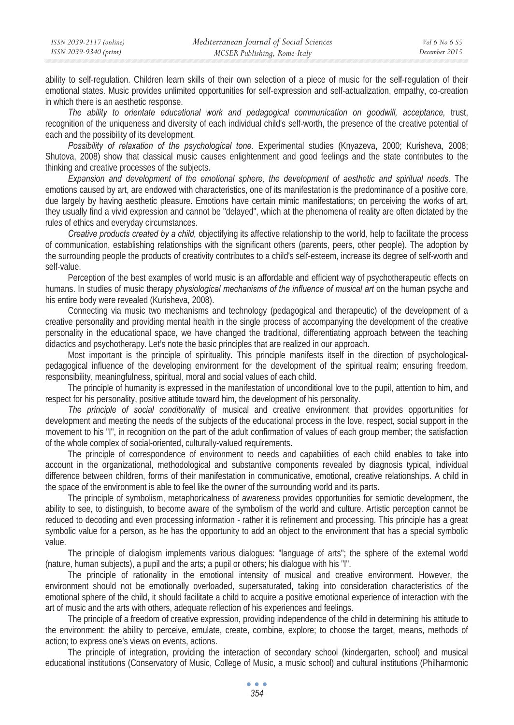ability to self-regulation. Children learn skills of their own selection of a piece of music for the self-regulation of their emotional states. Music provides unlimited opportunities for self-expression and self-actualization, empathy, co-creation in which there is an aesthetic response.

*The ability to orientate educational work and pedagogical communication on goodwill, acceptance,* trust, recognition of the uniqueness and diversity of each individual child's self-worth, the presence of the creative potential of each and the possibility of its development.

Possibility of relaxation of the psychological tone. Experimental studies (Knyazeva, 2000; Kurisheva, 2008; Shutova, 2008) show that classical music causes enlightenment and good feelings and the state contributes to the thinking and creative processes of the subjects.

Expansion and development of the emotional sphere, the development of aesthetic and spiritual needs. The emotions caused by art, are endowed with characteristics, one of its manifestation is the predominance of a positive core, due largely by having aesthetic pleasure. Emotions have certain mimic manifestations; on perceiving the works of art, they usually find a vivid expression and cannot be "delayed", which at the phenomena of reality are often dictated by the rules of ethics and everyday circumstances.

*Creative products created by a child,* objectifying its affective relationship to the world, help to facilitate the process of communication, establishing relationships with the significant others (parents, peers, other people). The adoption by the surrounding people the products of creativity contributes to a child's self-esteem, increase its degree of self-worth and self-value.

Perception of the best examples of world music is an affordable and efficient way of psychotherapeutic effects on humans. In studies of music therapy *physiological mechanisms of the influence of musical art* on the human psyche and his entire body were revealed (Kurisheva, 2008).

Connecting via music two mechanisms and technology (pedagogical and therapeutic) of the development of a creative personality and providing mental health in the single process of accompanying the development of the creative personality in the educational space, we have changed the traditional, differentiating approach between the teaching didactics and psychotherapy. Let's note the basic principles that are realized in our approach.

Most important is the principle of spirituality. This principle manifests itself in the direction of psychologicalpedagogical influence of the developing environment for the development of the spiritual realm; ensuring freedom, responsibility, meaningfulness, spiritual, moral and social values of each child.

The principle of humanity is expressed in the manifestation of unconditional love to the pupil, attention to him, and respect for his personality, positive attitude toward him, the development of his personality.

*The principle of social conditionality* of musical and creative environment that provides opportunities for development and meeting the needs of the subjects of the educational process in the love, respect, social support in the movement to his "I", in recognition on the part of the adult confirmation of values of each group member; the satisfaction of the whole complex of social-oriented, culturally-valued requirements.

The principle of correspondence of environment to needs and capabilities of each child enables to take into account in the organizational, methodological and substantive components revealed by diagnosis typical, individual difference between children, forms of their manifestation in communicative, emotional, creative relationships. A child in the space of the environment is able to feel like the owner of the surrounding world and its parts.

The principle of symbolism, metaphoricalness of awareness provides opportunities for semiotic development, the ability to see, to distinguish, to become aware of the symbolism of the world and culture. Artistic perception cannot be reduced to decoding and even processing information - rather it is refinement and processing. This principle has a great symbolic value for a person, as he has the opportunity to add an object to the environment that has a special symbolic value.

The principle of dialogism implements various dialogues: "language of arts"; the sphere of the external world (nature, human subjects), a pupil and the arts; a pupil or others; his dialogue with his "I".

The principle of rationality in the emotional intensity of musical and creative environment. However, the environment should not be emotionally overloaded, supersaturated, taking into consideration characteristics of the emotional sphere of the child, it should facilitate a child to acquire a positive emotional experience of interaction with the art of music and the arts with others, adequate reflection of his experiences and feelings.

The principle of a freedom of creative expression, providing independence of the child in determining his attitude to the environment: the ability to perceive, emulate, create, combine, explore; to choose the target, means, methods of action; to express one's views on events, actions.

The principle of integration, providing the interaction of secondary school (kindergarten, school) and musical educational institutions (Conservatory of Music, College of Music, a music school) and cultural institutions (Philharmonic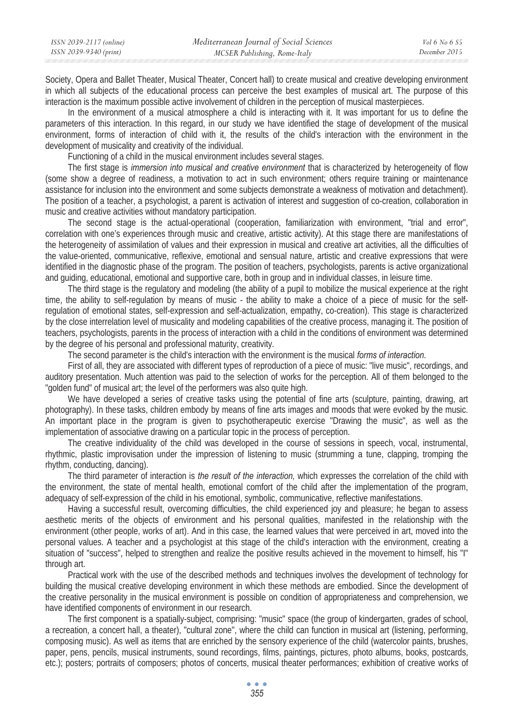| ISSN 2039-2117 (online) | Mediterranean Journal of Social Sciences | $Vol 6$ No 6 S5 |
|-------------------------|------------------------------------------|-----------------|
| ISSN 2039-9340 (print)  | MCSER Publishing, Rome-Italy             | December 2015   |

Society, Opera and Ballet Theater, Musical Theater, Concert hall) to create musical and creative developing environment in which all subjects of the educational process can perceive the best examples of musical art. The purpose of this interaction is the maximum possible active involvement of children in the perception of musical masterpieces.

In the environment of a musical atmosphere a child is interacting with it. It was important for us to define the parameters of this interaction. In this regard, in our study we have identified the stage of development of the musical environment, forms of interaction of child with it, the results of the child's interaction with the environment in the development of musicality and creativity of the individual.

Functioning of a child in the musical environment includes several stages.

The first stage is *immersion into musical and creative environment* that is characterized by heterogeneity of flow (some show a degree of readiness, a motivation to act in such environment; others require training or maintenance assistance for inclusion into the environment and some subjects demonstrate a weakness of motivation and detachment). The position of a teacher, a psychologist, a parent is activation of interest and suggestion of co-creation, collaboration in music and creative activities without mandatory participation.

The second stage is the actual-operational (cooperation, familiarization with environment, "trial and error", correlation with one's experiences through music and creative, artistic activity). At this stage there are manifestations of the heterogeneity of assimilation of values and their expression in musical and creative art activities, all the difficulties of the value-oriented, communicative, reflexive, emotional and sensual nature, artistic and creative expressions that were identified in the diagnostic phase of the program. The position of teachers, psychologists, parents is active organizational and guiding, educational, emotional and supportive care, both in group and in individual classes, in leisure time.

The third stage is the regulatory and modeling (the ability of a pupil to mobilize the musical experience at the right time, the ability to self-regulation by means of music - the ability to make a choice of a piece of music for the selfregulation of emotional states, self-expression and self-actualization, empathy, co-creation). This stage is characterized by the close interrelation level of musicality and modeling capabilities of the creative process, managing it. The position of teachers, psychologists, parents in the process of interaction with a child in the conditions of environment was determined by the degree of his personal and professional maturity, creativity.

The second parameter is the child's interaction with the environment is the musical *forms of interaction.* 

First of all, they are associated with different types of reproduction of a piece of music: "live music", recordings, and auditory presentation. Much attention was paid to the selection of works for the perception. All of them belonged to the "golden fund" of musical art; the level of the performers was also quite high.

We have developed a series of creative tasks using the potential of fine arts (sculpture, painting, drawing, art photography). In these tasks, children embody by means of fine arts images and moods that were evoked by the music. An important place in the program is given to psychotherapeutic exercise "Drawing the music", as well as the implementation of associative drawing on a particular topic in the process of perception.

The creative individuality of the child was developed in the course of sessions in speech, vocal, instrumental, rhythmic, plastic improvisation under the impression of listening to music (strumming a tune, clapping, tromping the rhythm, conducting, dancing).

The third parameter of interaction is *the result of the interaction,* which expresses the correlation of the child with the environment, the state of mental health, emotional comfort of the child after the implementation of the program, adequacy of self-expression of the child in his emotional, symbolic, communicative, reflective manifestations.

Having a successful result, overcoming difficulties, the child experienced joy and pleasure; he began to assess aesthetic merits of the objects of environment and his personal qualities, manifested in the relationship with the environment (other people, works of art). And in this case, the learned values that were perceived in art, moved into the personal values. A teacher and a psychologist at this stage of the child's interaction with the environment, creating a situation of "success", helped to strengthen and realize the positive results achieved in the movement to himself, his "I" through art.

Practical work with the use of the described methods and techniques involves the development of technology for building the musical creative developing environment in which these methods are embodied. Since the development of the creative personality in the musical environment is possible on condition of appropriateness and comprehension, we have identified components of environment in our research.

The first component is a spatially-subject, comprising: "music" space (the group of kindergarten, grades of school, a recreation, a concert hall, a theater), "cultural zone", where the child can function in musical art (listening, performing, composing music). As well as items that are enriched by the sensory experience of the child (watercolor paints, brushes, paper, pens, pencils, musical instruments, sound recordings, films, paintings, pictures, photo albums, books, postcards, etc.); posters; portraits of composers; photos of concerts, musical theater performances; exhibition of creative works of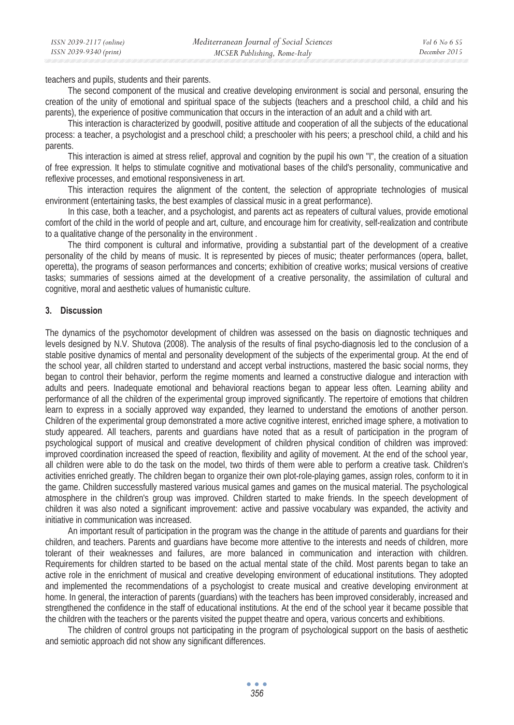teachers and pupils, students and their parents.

The second component of the musical and creative developing environment is social and personal, ensuring the creation of the unity of emotional and spiritual space of the subjects (teachers and a preschool child, a child and his parents), the experience of positive communication that occurs in the interaction of an adult and a child with art.

This interaction is characterized by goodwill, positive attitude and cooperation of all the subjects of the educational process: a teacher, a psychologist and a preschool child; a preschooler with his peers; a preschool child, a child and his parents.

This interaction is aimed at stress relief, approval and cognition by the pupil his own "I", the creation of a situation of free expression. It helps to stimulate cognitive and motivational bases of the child's personality, communicative and reflexive processes, and emotional responsiveness in art.

This interaction requires the alignment of the content, the selection of appropriate technologies of musical environment (entertaining tasks, the best examples of classical music in a great performance).

In this case, both a teacher, and a psychologist, and parents act as repeaters of cultural values, provide emotional comfort of the child in the world of people and art, culture, and encourage him for creativity, self-realization and contribute to a qualitative change of the personality in the environment .

The third component is cultural and informative, providing a substantial part of the development of a creative personality of the child by means of music. It is represented by pieces of music; theater performances (opera, ballet, operetta), the programs of season performances and concerts; exhibition of creative works; musical versions of creative tasks; summaries of sessions aimed at the development of a creative personality, the assimilation of cultural and cognitive, moral and aesthetic values of humanistic culture.

## **3. Discussion**

The dynamics of the psychomotor development of children was assessed on the basis on diagnostic techniques and levels designed by N.V. Shutova (2008). The analysis of the results of final psycho-diagnosis led to the conclusion of a stable positive dynamics of mental and personality development of the subjects of the experimental group. At the end of the school year, all children started to understand and accept verbal instructions, mastered the basic social norms, they began to control their behavior, perform the regime moments and learned a constructive dialogue and interaction with adults and peers. Inadequate emotional and behavioral reactions began to appear less often. Learning ability and performance of all the children of the experimental group improved significantly. The repertoire of emotions that children learn to express in a socially approved way expanded, they learned to understand the emotions of another person. Children of the experimental group demonstrated a more active cognitive interest, enriched image sphere, a motivation to study appeared. All teachers, parents and guardians have noted that as a result of participation in the program of psychological support of musical and creative development of children physical condition of children was improved: improved coordination increased the speed of reaction, flexibility and agility of movement. At the end of the school year, all children were able to do the task on the model, two thirds of them were able to perform a creative task. Children's activities enriched greatly. The children began to organize their own plot-role-playing games, assign roles, conform to it in the game. Children successfully mastered various musical games and games on the musical material. The psychological atmosphere in the children's group was improved. Children started to make friends. In the speech development of children it was also noted a significant improvement: active and passive vocabulary was expanded, the activity and initiative in communication was increased.

An important result of participation in the program was the change in the attitude of parents and guardians for their children, and teachers. Parents and guardians have become more attentive to the interests and needs of children, more tolerant of their weaknesses and failures, are more balanced in communication and interaction with children. Requirements for children started to be based on the actual mental state of the child. Most parents began to take an active role in the enrichment of musical and creative developing environment of educational institutions. They adopted and implemented the recommendations of a psychologist to create musical and creative developing environment at home. In general, the interaction of parents (guardians) with the teachers has been improved considerably, increased and strengthened the confidence in the staff of educational institutions. At the end of the school year it became possible that the children with the teachers or the parents visited the puppet theatre and opera, various concerts and exhibitions.

The children of control groups not participating in the program of psychological support on the basis of aesthetic and semiotic approach did not show any significant differences.